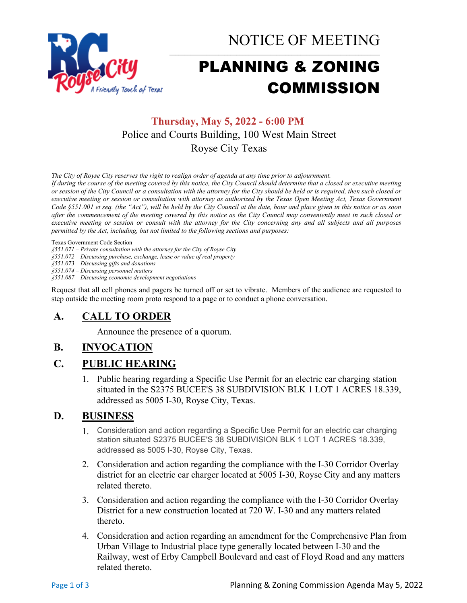

NOTICE OF MEETING

# PLANNING & ZONING COMMISSION

# **Thursday, May 5, 2022 - 6:00 PM** Police and Courts Building, 100 West Main Street Royse City Texas

*The City of Royse City reserves the right to realign order of agenda at any time prior to adjournment.*

*If during the course of the meeting covered by this notice, the City Council should determine that a closed or executive meeting or session of the City Council or a consultation with the attorney for the City should be held or is required, then such closed or executive meeting or session or consultation with attorney as authorized by the Texas Open Meeting Act, Texas Government Code §551.001 et seq. (the "Act"), will be held by the City Council at the date, hour and place given in this notice or as soon after the commencement of the meeting covered by this notice as the City Council may conveniently meet in such closed or executive meeting or session or consult with the attorney for the City concerning any and all subjects and all purposes permitted by the Act, including, but not limited to the following sections and purposes:*

Texas Government Code Section

*§551.071 – Private consultation with the attorney for the City of Royse City* 

*§551.072 – Discussing purchase, exchange, lease or value of real property* 

*§551.073 – Discussing gifts and donations*

*§551.074 – Discussing personnel matters*

*§551.087 – Discussing economic development negotiations*

Request that all cell phones and pagers be turned off or set to vibrate. Members of the audience are requested to step outside the meeting room proto respond to a page or to conduct a phone conversation.

## **A. CALL TO ORDER**

Announce the presence of a quorum.

## **B. INVOCATION**

## **C. PUBLIC HEARING**

1. Public hearing regarding a Specific Use Permit for an electric car charging station situated in the S2375 BUCEE'S 38 SUBDIVISION BLK 1 LOT 1 ACRES 18.339, addressed as 5005 I-30, Royse City, Texas.

## **D. BUSINESS**

- 1. Consideration and action regarding a Specific Use Permit for an electric car charging station situated S2375 BUCEE'S 38 SUBDIVISION BLK 1 LOT 1 ACRES 18.339, addressed as 5005 I-30, Royse City, Texas.
- 2. Consideration and action regarding the compliance with the I-30 Corridor Overlay district for an electric car charger located at 5005 I-30, Royse City and any matters related thereto.
- 3. Consideration and action regarding the compliance with the I-30 Corridor Overlay District for a new construction located at 720 W. I-30 and any matters related thereto.
- 4. Consideration and action regarding an amendment for the Comprehensive Plan from Urban Village to Industrial place type generally located between I-30 and the Railway, west of Erby Campbell Boulevard and east of Floyd Road and any matters related thereto.